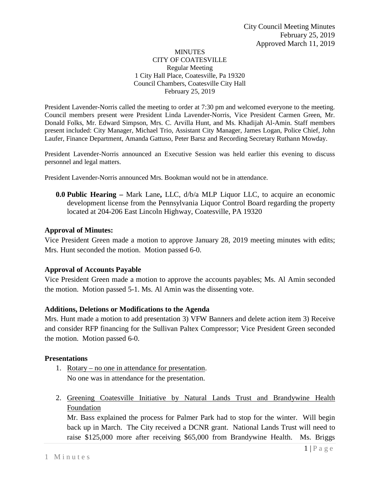#### MINUTES CITY OF COATESVILLE Regular Meeting 1 City Hall Place, Coatesville, Pa 19320 Council Chambers, Coatesville City Hall February 25, 2019

President Lavender-Norris called the meeting to order at 7:30 pm and welcomed everyone to the meeting. Council members present were President Linda Lavender-Norris, Vice President Carmen Green, Mr. Donald Folks, Mr. Edward Simpson, Mrs. C. Arvilla Hunt, and Ms. Khadijah Al-Amin. Staff members present included: City Manager, Michael Trio, Assistant City Manager, James Logan, Police Chief, John Laufer, Finance Department, Amanda Gattuso, Peter Barsz and Recording Secretary Ruthann Mowday.

President Lavender-Norris announced an Executive Session was held earlier this evening to discuss personnel and legal matters.

President Lavender-Norris announced Mrs. Bookman would not be in attendance.

**0.0 Public Hearing –** Mark Lane**,** LLC, d/b/a MLP Liquor LLC, to acquire an economic development license from the Pennsylvania Liquor Control Board regarding the property located at 204-206 East Lincoln Highway, Coatesville, PA 19320

#### **Approval of Minutes:**

Vice President Green made a motion to approve January 28, 2019 meeting minutes with edits; Mrs. Hunt seconded the motion. Motion passed 6-0.

#### **Approval of Accounts Payable**

Vice President Green made a motion to approve the accounts payables; Ms. Al Amin seconded the motion. Motion passed 5-1. Ms. Al Amin was the dissenting vote.

#### **Additions, Deletions or Modifications to the Agenda**

Mrs. Hunt made a motion to add presentation 3) VFW Banners and delete action item 3) Receive and consider RFP financing for the Sullivan Paltex Compressor; Vice President Green seconded the motion. Motion passed 6-0.

#### **Presentations**

- 1. Rotary no one in attendance for presentation. No one was in attendance for the presentation.
- 2. Greening Coatesville Initiative by Natural Lands Trust and Brandywine Health Foundation

Mr. Bass explained the process for Palmer Park had to stop for the winter. Will begin back up in March. The City received a DCNR grant. National Lands Trust will need to raise \$125,000 more after receiving \$65,000 from Brandywine Health. Ms. Briggs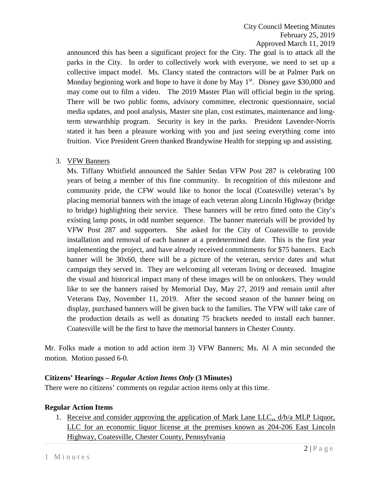announced this has been a significant project for the City. The goal is to attack all the parks in the City. In order to collectively work with everyone, we need to set up a collective impact model. Ms. Clancy stated the contractors will be at Palmer Park on Monday beginning work and hope to have it done by May  $1<sup>st</sup>$ . Disney gave \$30,000 and may come out to film a video. The 2019 Master Plan will official begin in the spring. There will be two public forms, advisory committee, electronic questionnaire, social media updates, and pool analysis, Master site plan, cost estimates, maintenance and longterm stewardship program. Security is key in the parks. President Lavender-Norris stated it has been a pleasure working with you and just seeing everything come into fruition. Vice President Green thanked Brandywine Health for stepping up and assisting.

## 3. VFW Banners

Ms. Tiffany Whitfield announced the Sahler Sedan VFW Post 287 is celebrating 100 years of being a member of this fine community. In recognition of this milestone and community pride, the CFW would like to honor the local (Coatesville) veteran's by placing memorial banners with the image of each veteran along Lincoln Highway (bridge to bridge) highlighting their service. These banners will be retro fitted onto the City's existing lamp posts, in odd number sequence. The banner materials will be provided by VFW Post 287 and supporters. She asked for the City of Coatesville to provide installation and removal of each banner at a predetermined date. This is the first year implementing the project, and have already received commitments for \$75 banners. Each banner will be 30x60, there will be a picture of the veteran, service dates and what campaign they served in. They are welcoming all veterans living or deceased. Imagine the visual and historical impact many of these images will be on onlookers. They would like to see the banners raised by Memorial Day, May 27, 2019 and remain until after Veterans Day, November 11, 2019. After the second season of the banner being on display, purchased banners will be given back to the families. The VFW will take care of the production details as well as donating 75 brackets needed to install each banner. Coatesville will be the first to have the memorial banners in Chester County.

Mr. Folks made a motion to add action item 3) VFW Banners; Ms. Al A min seconded the motion. Motion passed 6-0.

## **Citizens' Hearings –** *Regular Action Items Only* **(3 Minutes)**

There were no citizens' comments on regular action items only at this time.

## **Regular Action Items**

1. Receive and consider approving the application of Mark Lane LLC,, d/b/a MLP Liquor, LLC for an economic liquor license at the premises known as 204-206 East Lincoln Highway, Coatesville, Chester County, Pennsylvania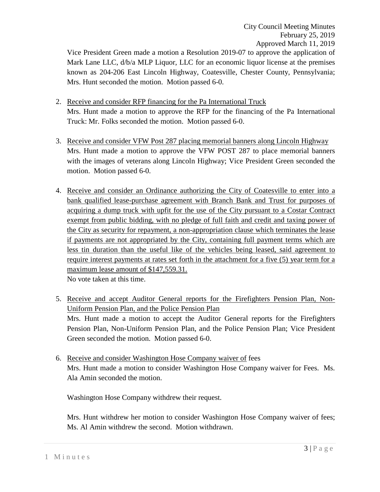City Council Meeting Minutes February 25, 2019 Approved March 11, 2019

Vice President Green made a motion a Resolution 2019-07 to approve the application of Mark Lane LLC,  $d/b/a$  MLP Liquor, LLC for an economic liquor license at the premises known as 204-206 East Lincoln Highway, Coatesville, Chester County, Pennsylvania; Mrs. Hunt seconded the motion. Motion passed 6-0.

- 2. Receive and consider RFP financing for the Pa International Truck Mrs. Hunt made a motion to approve the RFP for the financing of the Pa International Truck: Mr. Folks seconded the motion. Motion passed 6-0.
- 3. Receive and consider VFW Post 287 placing memorial banners along Lincoln Highway Mrs. Hunt made a motion to approve the VFW POST 287 to place memorial banners with the images of veterans along Lincoln Highway; Vice President Green seconded the motion. Motion passed 6-0.
- 4. Receive and consider an Ordinance authorizing the City of Coatesville to enter into a bank qualified lease-purchase agreement with Branch Bank and Trust for purposes of acquiring a dump truck with upfit for the use of the City pursuant to a Costar Contract exempt from public bidding, with no pledge of full faith and credit and taxing power of the City as security for repayment, a non-appropriation clause which terminates the lease if payments are not appropriated by the City, containing full payment terms which are less tin duration than the useful like of the vehicles being leased, said agreement to require interest payments at rates set forth in the attachment for a five (5) year term for a maximum lease amount of \$147,559.31.

No vote taken at this time.

- 5. Receive and accept Auditor General reports for the Firefighters Pension Plan, Non-Uniform Pension Plan, and the Police Pension Plan Mrs. Hunt made a motion to accept the Auditor General reports for the Firefighters Pension Plan, Non-Uniform Pension Plan, and the Police Pension Plan; Vice President Green seconded the motion. Motion passed 6-0.
- 6. Receive and consider Washington Hose Company waiver of fees Mrs. Hunt made a motion to consider Washington Hose Company waiver for Fees. Ms. Ala Amin seconded the motion.

Washington Hose Company withdrew their request.

Mrs. Hunt withdrew her motion to consider Washington Hose Company waiver of fees; Ms. Al Amin withdrew the second. Motion withdrawn.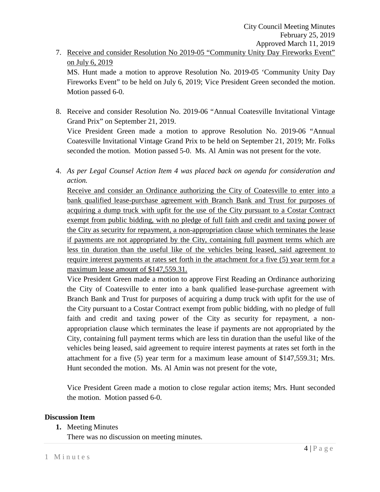7. Receive and consider Resolution No 2019-05 "Community Unity Day Fireworks Event" on July 6, 2019

MS. Hunt made a motion to approve Resolution No. 2019-05 'Community Unity Day Fireworks Event" to be held on July 6, 2019; Vice President Green seconded the motion. Motion passed 6-0.

- 8. Receive and consider Resolution No. 2019-06 "Annual Coatesville Invitational Vintage Grand Prix" on September 21, 2019. Vice President Green made a motion to approve Resolution No. 2019-06 "Annual Coatesville Invitational Vintage Grand Prix to be held on September 21, 2019; Mr. Folks seconded the motion. Motion passed 5-0. Ms. Al Amin was not present for the vote.
- 4. *As per Legal Counsel Action Item 4 was placed back on agenda for consideration and action.*

Receive and consider an Ordinance authorizing the City of Coatesville to enter into a bank qualified lease-purchase agreement with Branch Bank and Trust for purposes of acquiring a dump truck with upfit for the use of the City pursuant to a Costar Contract exempt from public bidding, with no pledge of full faith and credit and taxing power of the City as security for repayment, a non-appropriation clause which terminates the lease if payments are not appropriated by the City, containing full payment terms which are less tin duration than the useful like of the vehicles being leased, said agreement to require interest payments at rates set forth in the attachment for a five (5) year term for a maximum lease amount of \$147,559.31.

Vice President Green made a motion to approve First Reading an Ordinance authorizing the City of Coatesville to enter into a bank qualified lease-purchase agreement with Branch Bank and Trust for purposes of acquiring a dump truck with upfit for the use of the City pursuant to a Costar Contract exempt from public bidding, with no pledge of full faith and credit and taxing power of the City as security for repayment, a nonappropriation clause which terminates the lease if payments are not appropriated by the City, containing full payment terms which are less tin duration than the useful like of the vehicles being leased, said agreement to require interest payments at rates set forth in the attachment for a five (5) year term for a maximum lease amount of \$147,559.31; Mrs. Hunt seconded the motion. Ms. Al Amin was not present for the vote,

Vice President Green made a motion to close regular action items; Mrs. Hunt seconded the motion. Motion passed 6-0.

## **Discussion Item**

**1.** Meeting Minutes

There was no discussion on meeting minutes.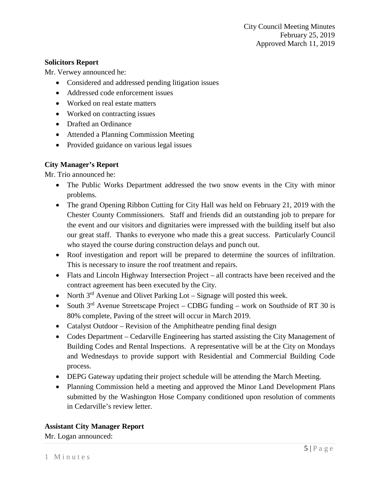### **Solicitors Report**

Mr. Verwey announced he:

- Considered and addressed pending litigation issues
- Addressed code enforcement issues
- Worked on real estate matters
- Worked on contracting issues
- Drafted an Ordinance
- Attended a Planning Commission Meeting
- Provided guidance on various legal issues

## **City Manager's Report**

Mr. Trio announced he:

- The Public Works Department addressed the two snow events in the City with minor problems.
- The grand Opening Ribbon Cutting for City Hall was held on February 21, 2019 with the Chester County Commissioners. Staff and friends did an outstanding job to prepare for the event and our visitors and dignitaries were impressed with the building itself but also our great staff. Thanks to everyone who made this a great success. Particularly Council who stayed the course during construction delays and punch out.
- Roof investigation and report will be prepared to determine the sources of infiltration. This is necessary to insure the roof treatment and repairs.
- Flats and Lincoln Highway Intersection Project all contracts have been received and the contract agreement has been executed by the City.
- North  $3^{rd}$  Avenue and Olivet Parking Lot Signage will posted this week.
- South  $3^{rd}$  Avenue Streetscape Project CDBG funding work on Southside of RT 30 is 80% complete, Paving of the street will occur in March 2019.
- Catalyst Outdoor Revision of the Amphitheatre pending final design
- Codes Department Cedarville Engineering has started assisting the City Management of Building Codes and Rental Inspections. A representative will be at the City on Mondays and Wednesdays to provide support with Residential and Commercial Building Code process.
- DEPG Gateway updating their project schedule will be attending the March Meeting.
- Planning Commission held a meeting and approved the Minor Land Development Plans submitted by the Washington Hose Company conditioned upon resolution of comments in Cedarville's review letter.

## **Assistant City Manager Report**

Mr. Logan announced: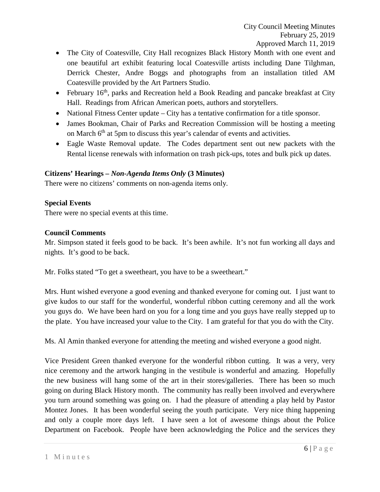- The City of Coatesville, City Hall recognizes Black History Month with one event and one beautiful art exhibit featuring local Coatesville artists including Dane Tilghman, Derrick Chester, Andre Boggs and photographs from an installation titled AM Coatesville provided by the Art Partners Studio.
- February  $16<sup>th</sup>$ , parks and Recreation held a Book Reading and pancake breakfast at City Hall. Readings from African American poets, authors and storytellers.
- National Fitness Center update City has a tentative confirmation for a title sponsor.
- James Bookman, Chair of Parks and Recreation Commission will be hosting a meeting on March 6<sup>th</sup> at 5pm to discuss this year's calendar of events and activities.
- Eagle Waste Removal update. The Codes department sent out new packets with the Rental license renewals with information on trash pick-ups, totes and bulk pick up dates.

# **Citizens' Hearings –** *Non-Agenda Items Only* **(3 Minutes)**

There were no citizens' comments on non-agenda items only.

## **Special Events**

There were no special events at this time.

## **Council Comments**

Mr. Simpson stated it feels good to be back. It's been awhile. It's not fun working all days and nights. It's good to be back.

Mr. Folks stated "To get a sweetheart, you have to be a sweetheart."

Mrs. Hunt wished everyone a good evening and thanked everyone for coming out. I just want to give kudos to our staff for the wonderful, wonderful ribbon cutting ceremony and all the work you guys do. We have been hard on you for a long time and you guys have really stepped up to the plate. You have increased your value to the City. I am grateful for that you do with the City.

Ms. Al Amin thanked everyone for attending the meeting and wished everyone a good night.

Vice President Green thanked everyone for the wonderful ribbon cutting. It was a very, very nice ceremony and the artwork hanging in the vestibule is wonderful and amazing. Hopefully the new business will hang some of the art in their stores/galleries. There has been so much going on during Black History month. The community has really been involved and everywhere you turn around something was going on. I had the pleasure of attending a play held by Pastor Montez Jones. It has been wonderful seeing the youth participate. Very nice thing happening and only a couple more days left. I have seen a lot of awesome things about the Police Department on Facebook. People have been acknowledging the Police and the services they